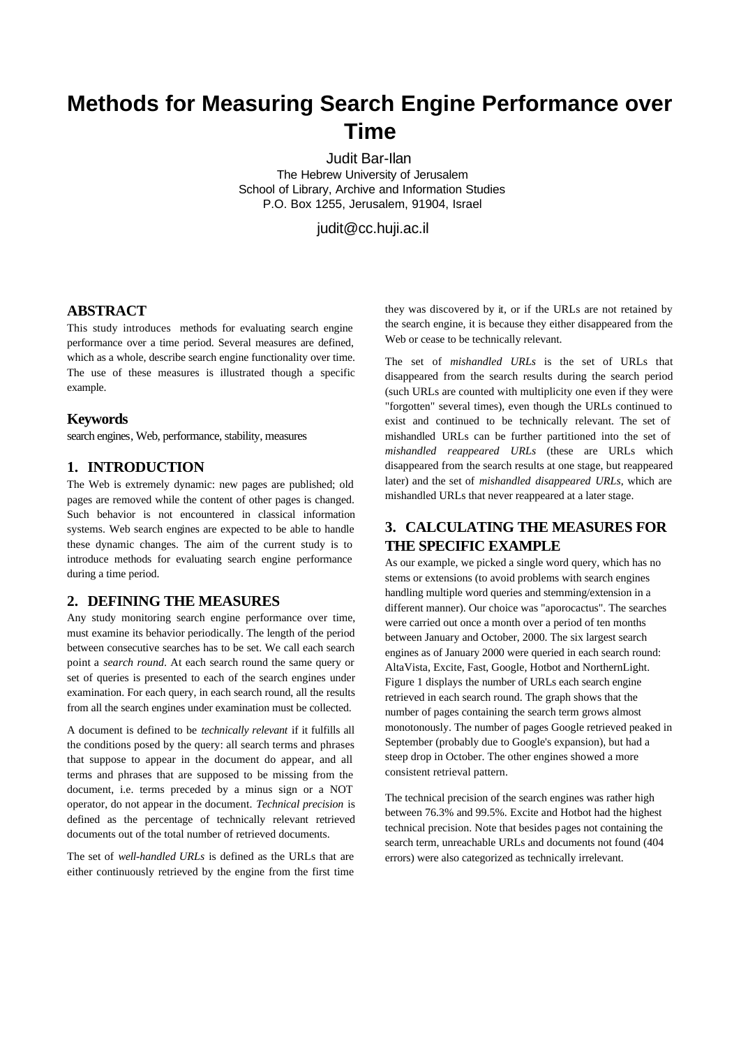# **Methods for Measuring Search Engine Performance over Time**

Judit Bar-Ilan The Hebrew University of Jerusalem School of Library, Archive and Information Studies P.O. Box 1255, Jerusalem, 91904, Israel

judit@cc.huji.ac.il

### **ABSTRACT**

This study introduces methods for evaluating search engine performance over a time period. Several measures are defined, which as a whole, describe search engine functionality over time. The use of these measures is illustrated though a specific example.

#### **Keywords**

search engines, Web, performance, stability, measures

### **1. INTRODUCTION**

The Web is extremely dynamic: new pages are published; old pages are removed while the content of other pages is changed. Such behavior is not encountered in classical information systems. Web search engines are expected to be able to handle these dynamic changes. The aim of the current study is to introduce methods for evaluating search engine performance during a time period.

### **2. DEFINING THE MEASURES**

Any study monitoring search engine performance over time, must examine its behavior periodically. The length of the period between consecutive searches has to be set. We call each search point a *search round*. At each search round the same query or set of queries is presented to each of the search engines under examination. For each query, in each search round, all the results from all the search engines under examination must be collected.

A document is defined to be *technically relevant* if it fulfills all the conditions posed by the query: all search terms and phrases that suppose to appear in the document do appear, and all terms and phrases that are supposed to be missing from the document, i.e. terms preceded by a minus sign or a NOT operator, do not appear in the document. *Technical precision* is defined as the percentage of technically relevant retrieved documents out of the total number of retrieved documents.

The set of *well-handled URLs* is defined as the URLs that are either continuously retrieved by the engine from the first time

they was discovered by it, or if the URLs are not retained by the search engine, it is because they either disappeared from the Web or cease to be technically relevant.

The set of *mishandled URLs* is the set of URLs that disappeared from the search results during the search period (such URLs are counted with multiplicity one even if they were "forgotten" several times), even though the URLs continued to exist and continued to be technically relevant. The set of mishandled URLs can be further partitioned into the set of *mishandled reappeared URLs* (these are URLs which disappeared from the search results at one stage, but reappeared later) and the set of *mishandled disappeared URLs*, which are mishandled URLs that never reappeared at a later stage.

## **3. CALCULATING THE MEASURES FOR THE SPECIFIC EXAMPLE**

As our example, we picked a single word query, which has no stems or extensions (to avoid problems with search engines handling multiple word queries and stemming/extension in a different manner). Our choice was "aporocactus". The searches were carried out once a month over a period of ten months between January and October, 2000. The six largest search engines as of January 2000 were queried in each search round: AltaVista, Excite, Fast, Google, Hotbot and NorthernLight. Figure 1 displays the number of URLs each search engine retrieved in each search round. The graph shows that the number of pages containing the search term grows almost monotonously. The number of pages Google retrieved peaked in September (probably due to Google's expansion), but had a steep drop in October. The other engines showed a more consistent retrieval pattern.

The technical precision of the search engines was rather high between 76.3% and 99.5%. Excite and Hotbot had the highest technical precision. Note that besides pages not containing the search term, unreachable URLs and documents not found (404 errors) were also categorized as technically irrelevant.